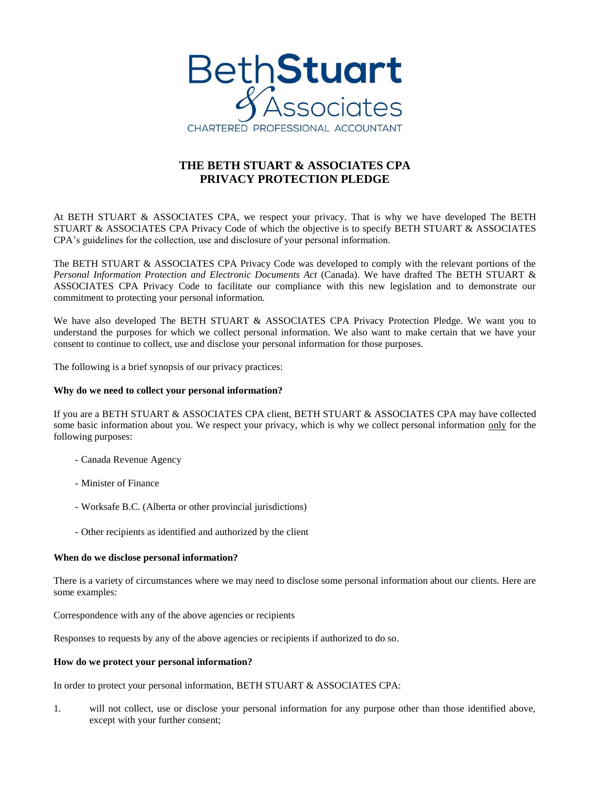

# **THE BETH STUART & ASSOCIATES CPA PRIVACY PROTECTION PLEDGE**

At BETH STUART & ASSOCIATES CPA, we respect your privacy. That is why we have developed The BETH STUART & ASSOCIATES CPA Privacy Code of which the objective is to specify BETH STUART & ASSOCIATES CPA's guidelines for the collection, use and disclosure of your personal information.

The BETH STUART & ASSOCIATES CPA Privacy Code was developed to comply with the relevant portions of the *Personal Information Protection and Electronic Documents Act* (Canada). We have drafted The BETH STUART & ASSOCIATES CPA Privacy Code to facilitate our compliance with this new legislation and to demonstrate our commitment to protecting your personal information.

We have also developed The BETH STUART & ASSOCIATES CPA Privacy Protection Pledge. We want you to understand the purposes for which we collect personal information. We also want to make certain that we have your consent to continue to collect, use and disclose your personal information for those purposes.

The following is a brief synopsis of our privacy practices:

## **Why do we need to collect your personal information?**

If you are a BETH STUART & ASSOCIATES CPA client, BETH STUART & ASSOCIATES CPA may have collected some basic information about you. We respect your privacy, which is why we collect personal information only for the following purposes:

- Canada Revenue Agency
- Minister of Finance
- Worksafe B.C. (Alberta or other provincial jurisdictions)
- Other recipients as identified and authorized by the client

### **When do we disclose personal information?**

There is a variety of circumstances where we may need to disclose some personal information about our clients. Here are some examples:

Correspondence with any of the above agencies or recipients

Responses to requests by any of the above agencies or recipients if authorized to do so.

### **How do we protect your personal information?**

In order to protect your personal information, BETH STUART & ASSOCIATES CPA:

1. will not collect, use or disclose your personal information for any purpose other than those identified above, except with your further consent;